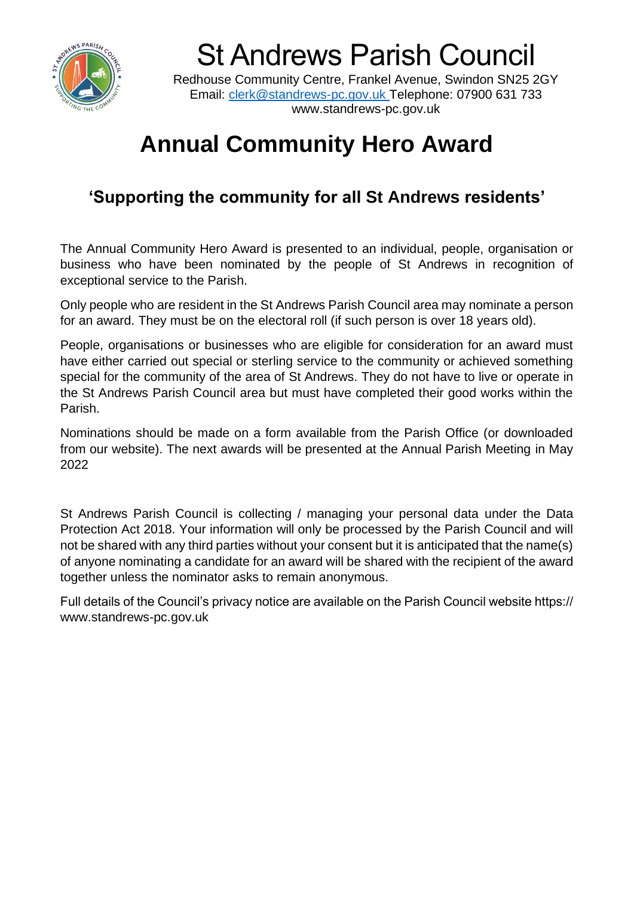

St Andrews Parish Council

Redhouse Community Centre, Frankel Avenue, Swindon SN25 2GY Email: [clerk@standrews-pc.gov.uk](mailto:clerk@standrews-pc.gov.uk) Telephone: 07900 631 733 www.standrews-pc.gov.uk

## **Annual Community Hero Award**

### **'Supporting the community for all St Andrews residents'**

The Annual Community Hero Award is presented to an individual, people, organisation or business who have been nominated by the people of St Andrews in recognition of exceptional service to the Parish.

Only people who are resident in the St Andrews Parish Council area may nominate a person for an award. They must be on the electoral roll (if such person is over 18 years old).

People, organisations or businesses who are eligible for consideration for an award must have either carried out special or sterling service to the community or achieved something special for the community of the area of St Andrews. They do not have to live or operate in the St Andrews Parish Council area but must have completed their good works within the Parish.

Nominations should be made on a form available from the Parish Office (or downloaded from our website). The next awards will be presented at the Annual Parish Meeting in May 2022

St Andrews Parish Council is collecting / managing your personal data under the Data Protection Act 2018. Your information will only be processed by the Parish Council and will not be shared with any third parties without your consent but it is anticipated that the name(s) of anyone nominating a candidate for an award will be shared with the recipient of the award together unless the nominator asks to remain anonymous.

Full details of the Council's privacy notice are available on the Parish Council website https:// www.standrews-pc.gov.uk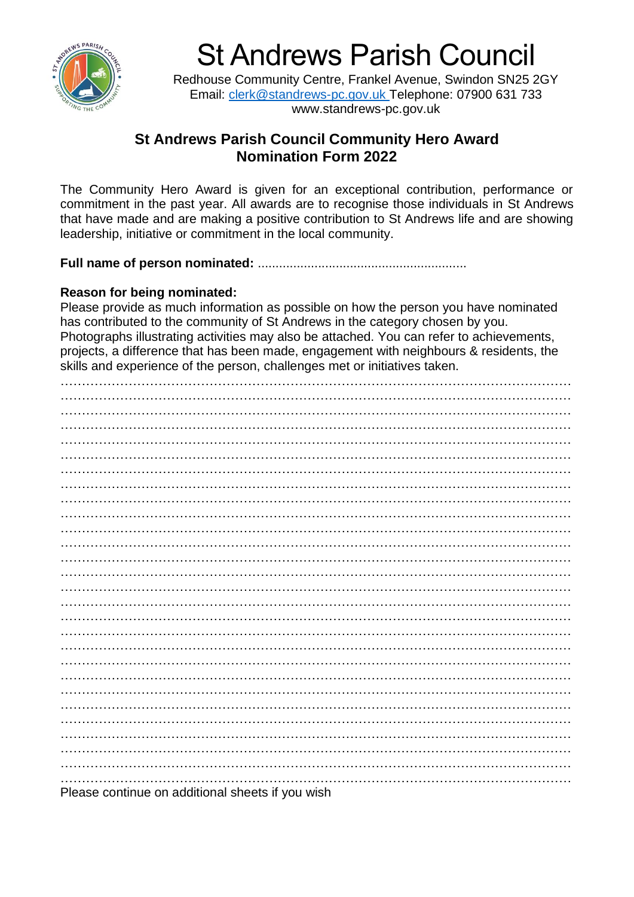

St Andrews Parish Council

Redhouse Community Centre, Frankel Avenue, Swindon SN25 2GY Email: [clerk@standrews-pc.gov.uk](mailto:clerk@standrews-pc.gov.uk) Telephone: 07900 631 733 www.standrews-pc.gov.uk

#### **St Andrews Parish Council Community Hero Award Nomination Form 2022**

The Community Hero Award is given for an exceptional contribution, performance or commitment in the past year. All awards are to recognise those individuals in St Andrews that have made and are making a positive contribution to St Andrews life and are showing leadership, initiative or commitment in the local community.

**Full name of person nominated:** ...........................................................

#### **Reason for being nominated:**

Please provide as much information as possible on how the person you have nominated has contributed to the community of St Andrews in the category chosen by you. Photographs illustrating activities may also be attached. You can refer to achievements, projects, a difference that has been made, engagement with neighbours & residents, the skills and experience of the person, challenges met or initiatives taken.

………………………………………………………………………………………………………… ………………………………………………………………………………………………………… . The same independent of the same independent of the same independent of the same independent of the same independent of the same independent of the same independent of the same independent of the same independent of the . The contract of the contract of the contract of the contract of the contract of the contract of the contract of the contract of the contract of the contract of the contract of the contract of the contract of the contrac ………………………………………………………………………………………………………… . The contract of the contract of the contract of the contract of the contract of the contract of the contract of the contract of the contract of the contract of the contract of the contract of the contract of the contrac ………………………………………………………………………………………………………… ………………………………………………………………………………………………………… ………………………………………………………………………………………………………… ………………………………………………………………………………………………………… . The contract of the contract of the contract of the contract of the contract of the contract of the contract of the contract of the contract of the contract of the contract of the contract of the contract of the contrac ………………………………………………………………………………………………………… ………………………………………………………………………………………………………… . The contract of the contract of the contract of the contract of the contract of the contract of the contract of the contract of the contract of the contract of the contract of the contract of the contract of the contrac ………………………………………………………………………………………………………… . The contract of the contract of the contract of the contract of the contract of the contract of the contract of the contract of the contract of the contract of the contract of the contract of the contract of the contrac ………………………………………………………………………………………………………… ………………………………………………………………………………………………………… ………………………………………………………………………………………………………… ………………………………………………………………………………………………………… ………………………………………………………………………………………………………… ………………………………………………………………………………………………………… ………………………………………………………………………………………………………… . The contract of the contract of the contract of the contract of the contract of the contract of the contract of the contract of the contract of the contract of the contract of the contract of the contract of the contrac

Please continue on additional sheets if you wish